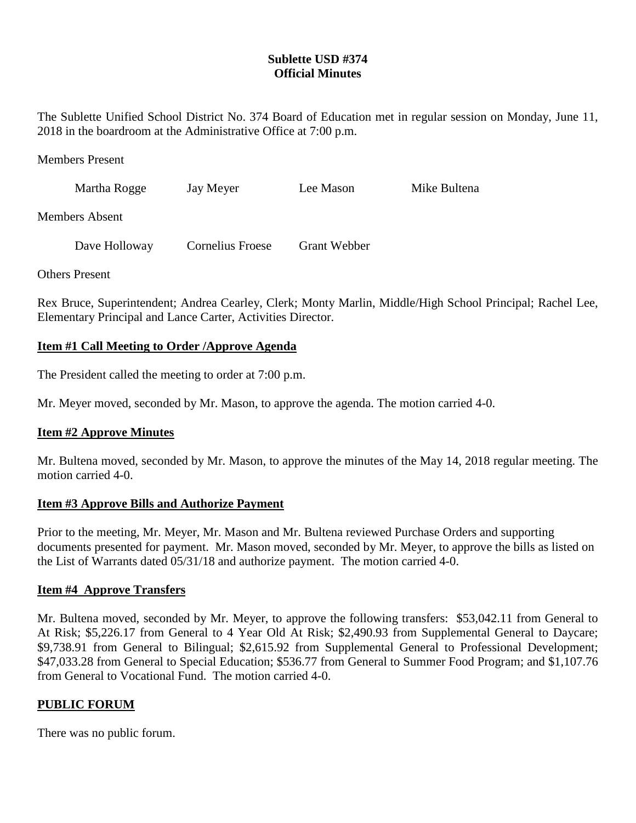# **Sublette USD #374 Official Minutes**

The Sublette Unified School District No. 374 Board of Education met in regular session on Monday, June 11, 2018 in the boardroom at the Administrative Office at 7:00 p.m.

### Members Present

| Martha Rogge          | Jay Meyer        | Lee Mason           | Mike Bultena |
|-----------------------|------------------|---------------------|--------------|
| <b>Members Absent</b> |                  |                     |              |
| Dave Holloway         | Cornelius Froese | <b>Grant Webber</b> |              |

Others Present

Rex Bruce, Superintendent; Andrea Cearley, Clerk; Monty Marlin, Middle/High School Principal; Rachel Lee, Elementary Principal and Lance Carter, Activities Director.

# **Item #1 Call Meeting to Order /Approve Agenda**

The President called the meeting to order at 7:00 p.m.

Mr. Meyer moved, seconded by Mr. Mason, to approve the agenda. The motion carried 4-0.

# **Item #2 Approve Minutes**

Mr. Bultena moved, seconded by Mr. Mason, to approve the minutes of the May 14, 2018 regular meeting. The motion carried 4-0.

# **Item #3 Approve Bills and Authorize Payment**

Prior to the meeting, Mr. Meyer, Mr. Mason and Mr. Bultena reviewed Purchase Orders and supporting documents presented for payment. Mr. Mason moved, seconded by Mr. Meyer, to approve the bills as listed on the List of Warrants dated 05/31/18 and authorize payment. The motion carried 4-0.

# **Item #4 Approve Transfers**

Mr. Bultena moved, seconded by Mr. Meyer, to approve the following transfers: \$53,042.11 from General to At Risk; \$5,226.17 from General to 4 Year Old At Risk; \$2,490.93 from Supplemental General to Daycare; \$9,738.91 from General to Bilingual; \$2,615.92 from Supplemental General to Professional Development; \$47,033.28 from General to Special Education; \$536.77 from General to Summer Food Program; and \$1,107.76 from General to Vocational Fund. The motion carried 4-0.

# **PUBLIC FORUM**

There was no public forum.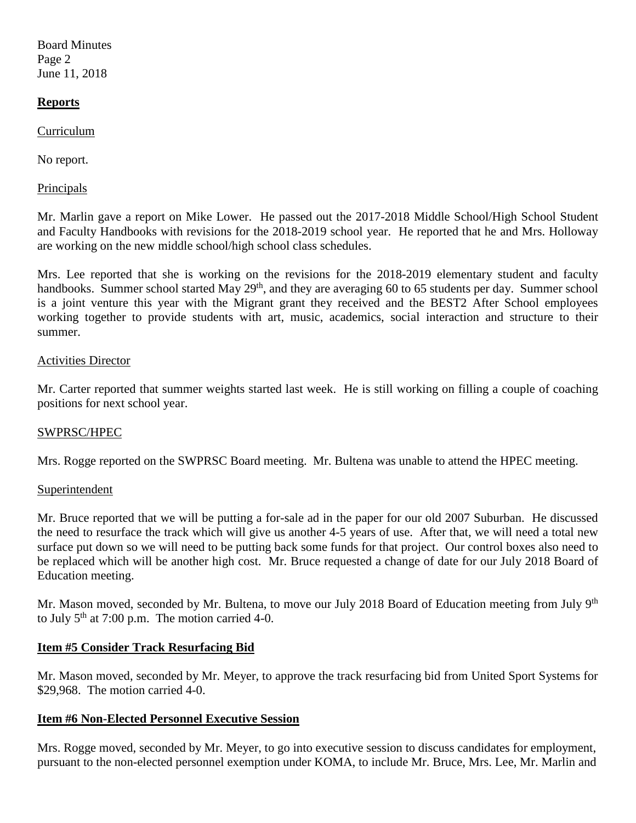Board Minutes Page 2 June 11, 2018

### **Reports**

Curriculum

No report.

**Principals** 

Mr. Marlin gave a report on Mike Lower. He passed out the 2017-2018 Middle School/High School Student and Faculty Handbooks with revisions for the 2018-2019 school year. He reported that he and Mrs. Holloway are working on the new middle school/high school class schedules.

Mrs. Lee reported that she is working on the revisions for the 2018-2019 elementary student and faculty handbooks. Summer school started May 29<sup>th</sup>, and they are averaging 60 to 65 students per day. Summer school is a joint venture this year with the Migrant grant they received and the BEST2 After School employees working together to provide students with art, music, academics, social interaction and structure to their summer.

#### Activities Director

Mr. Carter reported that summer weights started last week. He is still working on filling a couple of coaching positions for next school year.

#### SWPRSC/HPEC

Mrs. Rogge reported on the SWPRSC Board meeting. Mr. Bultena was unable to attend the HPEC meeting.

#### Superintendent

Mr. Bruce reported that we will be putting a for-sale ad in the paper for our old 2007 Suburban. He discussed the need to resurface the track which will give us another 4-5 years of use. After that, we will need a total new surface put down so we will need to be putting back some funds for that project. Our control boxes also need to be replaced which will be another high cost. Mr. Bruce requested a change of date for our July 2018 Board of Education meeting.

Mr. Mason moved, seconded by Mr. Bultena, to move our July 2018 Board of Education meeting from July 9<sup>th</sup> to July  $5<sup>th</sup>$  at 7:00 p.m. The motion carried 4-0.

#### **Item #5 Consider Track Resurfacing Bid**

Mr. Mason moved, seconded by Mr. Meyer, to approve the track resurfacing bid from United Sport Systems for \$29,968. The motion carried 4-0.

#### **Item #6 Non-Elected Personnel Executive Session**

Mrs. Rogge moved, seconded by Mr. Meyer, to go into executive session to discuss candidates for employment, pursuant to the non-elected personnel exemption under KOMA, to include Mr. Bruce, Mrs. Lee, Mr. Marlin and